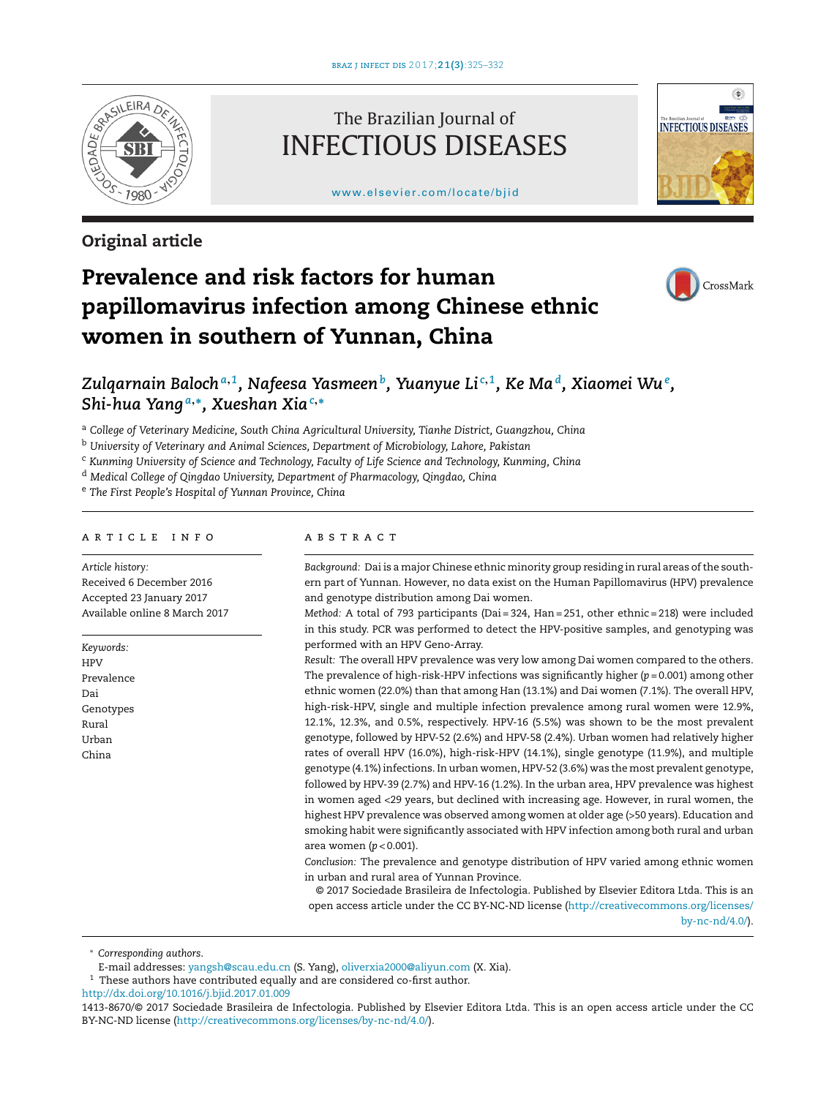

## **Original article**

## The Brazilian Journal of INFECTIOUS DISEASES

[www.elsevier.com/locate/bjid](http://www.elsevier.com/locate/bjid)



# **Prevalence and risk factors for human papillomavirus infection among Chinese ethnic women in southern of Yunnan, China**



## *Zulqarnain Baloch<sup>a</sup>***,***1, Nafeesa Yasmeenb, Yuanyue Li <sup>c</sup>***,***1, Ke Mad, Xiaomei Wu<sup>e</sup> , Shi-hua Yang <sup>a</sup>***,∗***, Xueshan Xia<sup>c</sup>***,<sup>∗</sup>**

<sup>a</sup> *College of Veterinary Medicine, South China Agricultural University, Tianhe District, Guangzhou, China*

<sup>b</sup> *University of Veterinary and Animal Sciences, Department of Microbiology, Lahore, Pakistan*

<sup>c</sup> *Kunming University of Science and Technology, Faculty of Life Science and Technology, Kunming, China*

<sup>d</sup> *Medical College of Qingdao University, Department of Pharmacology, Qingdao, China*

<sup>e</sup> *The First People's Hospital of Yunnan Province, China*

## a r t i c l e i n f o

*Article history:* Received 6 December 2016 Accepted 23 January 2017 Available online 8 March 2017

*Keywords:* HPV Prevalence Dai Genotypes Rural Urban

China

## a b s t r a c t

*Background:* Dai is a major Chinese ethnic minority group residing in rural areas ofthe southern part of Yunnan. However, no data exist on the Human Papillomavirus (HPV) prevalence and genotype distribution among Dai women.

*Method:* A total of 793 participants (Dai = 324, Han = 251, other ethnic = 218) were included in this study. PCR was performed to detect the HPV-positive samples, and genotyping was performed with an HPV Geno-Array.

*Result:* The overall HPV prevalence was very low among Dai women compared to the others. The prevalence of high-risk-HPV infections was significantly higher (*p* = 0.001) among other ethnic women (22.0%) than that among Han (13.1%) and Dai women (7.1%). The overall HPV, high-risk-HPV, single and multiple infection prevalence among rural women were 12.9%, 12.1%, 12.3%, and 0.5%, respectively. HPV-16 (5.5%) was shown to be the most prevalent genotype, followed by HPV-52 (2.6%) and HPV-58 (2.4%). Urban women had relatively higher rates of overall HPV (16.0%), high-risk-HPV (14.1%), single genotype (11.9%), and multiple genotype (4.1%) infections. In urban women, HPV-52 (3.6%) was the most prevalent genotype, followed by HPV-39 (2.7%) and HPV-16 (1.2%). In the urban area, HPV prevalence was highest in women aged <29 years, but declined with increasing age. However, in rural women, the highest HPV prevalence was observed among women at older age (>50 years). Education and smoking habit were significantly associated with HPV infection among both rural and urban area women (*p* < 0.001).

*Conclusion:* The prevalence and genotype distribution of HPV varied among ethnic women in urban and rural area of Yunnan Province.

© 2017 Sociedade Brasileira de Infectologia. Published by Elsevier Editora Ltda. This is an open access article under the CC BY-NC-ND license [\(http://creativecommons.org/licenses/](http://creativecommons.org/licenses/by-nc-nd/4.0/) [by-nc-nd/4.0/\)](http://creativecommons.org/licenses/by-nc-nd/4.0/).

∗ *Corresponding authors*.

[http://dx.doi.org/10.1016/j.bjid.2017.01.009](dx.doi.org/10.1016/j.bjid.2017.01.009)

E-mail addresses: [yangsh@scau.edu.cn](mailto:yangsh@scau.edu.cn) (S. Yang), [oliverxia2000@aliyun.com](mailto:oliverxia2000@aliyun.com) (X. Xia).

 $^{\rm 1}$  These authors have contributed equally and are considered co-first author.

<sup>1413-8670/©</sup> 2017 Sociedade Brasileira de Infectologia. Published by Elsevier Editora Ltda. This is an open access article under the CC BY-NC-ND license (<http://creativecommons.org/licenses/by-nc-nd/4.0/>).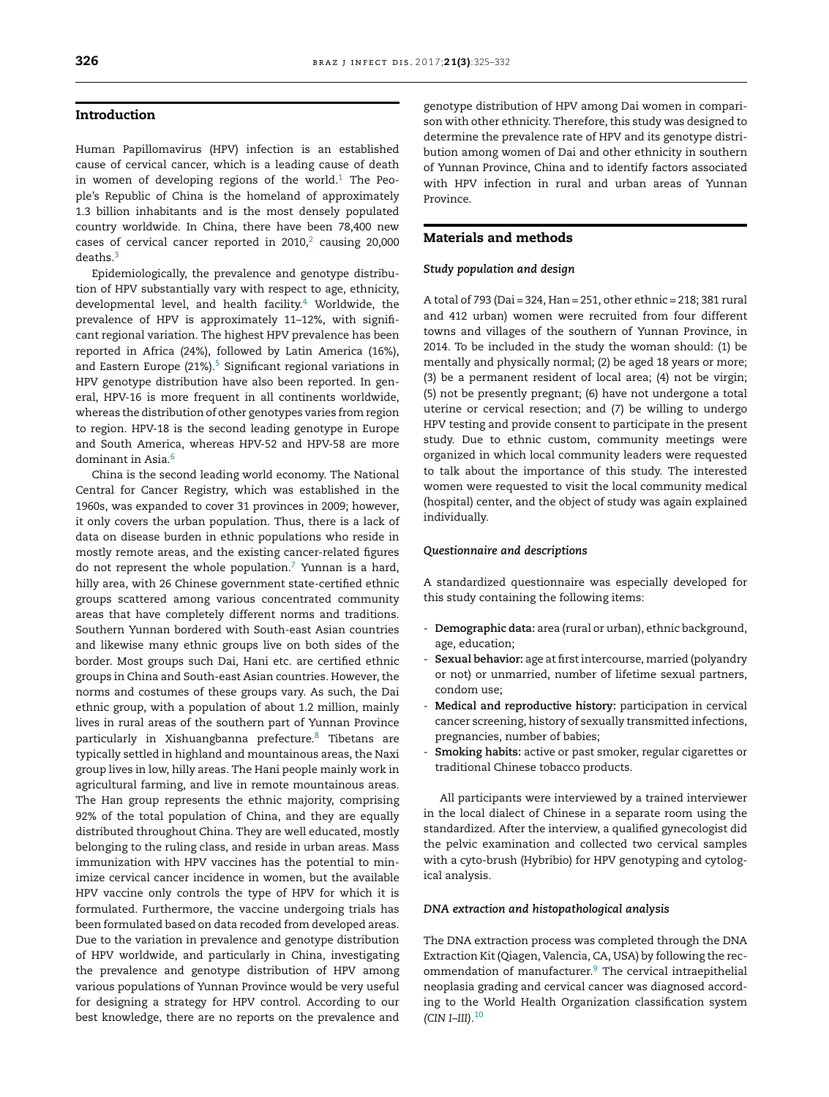## **Introduction**

Human Papillomavirus (HPV) infection is an established cause of cervical cancer, which is a leading cause of death in women of developing regions of the world.<sup>1</sup> The People's Republic of China is the homeland of approximately 1.3 billion inhabitants and is the most densely populated country worldwide. In China, there have been 78,400 new cases of cervical cancer reported in  $2010$  $2010$ , $2$  causing  $20,000$ deaths[.3](#page-6-0)

Epidemiologically, the prevalence and genotype distribution of HPV substantially vary with respect to age, ethnicity, developmental level, and health facility. $4$  Worldwide, the prevalence of HPV is approximately 11–12%, with significant regional variation. The highest HPV prevalence has been reported in Africa (24%), followed by Latin America (16%), and Eastern Europe (21%). $5$  Significant regional variations in HPV genotype distribution have also been reported. In general, HPV-16 is more frequent in all continents worldwide, whereas the distribution of other genotypes varies from region to region. HPV-18 is the second leading genotype in Europe and South America, whereas HPV-52 and HPV-58 are more dominant in Asia $\frac{6}{5}$ 

China is the second leading world economy. The National Central for Cancer Registry, which was established in the 1960s, was expanded to cover 31 provinces in 2009; however, it only covers the urban population. Thus, there is a lack of data on disease burden in ethnic populations who reside in mostly remote areas, and the existing cancer-related figures do not represent the whole population. $7$  Yunnan is a hard, hilly area, with 26 Chinese government state-certified ethnic groups scattered among various concentrated community areas that have completely different norms and traditions. Southern Yunnan bordered with South-east Asian countries and likewise many ethnic groups live on both sides of the border. Most groups such Dai, Hani etc. are certified ethnic groups in China and South-east Asian countries. However, the norms and costumes of these groups vary. As such, the Dai ethnic group, with a population of about 1.2 million, mainly lives in rural areas of the southern part of Yunnan Province particularly in Xishuangbanna prefecture.<sup>[8](#page-7-0)</sup> Tibetans are typically settled in highland and mountainous areas, the Naxi group lives in low, hilly areas. The Hani people mainly work in agricultural farming, and live in remote mountainous areas. The Han group represents the ethnic majority, comprising 92% of the total population of China, and they are equally distributed throughout China. They are well educated, mostly belonging to the ruling class, and reside in urban areas. Mass immunization with HPV vaccines has the potential to minimize cervical cancer incidence in women, but the available HPV vaccine only controls the type of HPV for which it is formulated. Furthermore, the vaccine undergoing trials has been formulated based on data recoded from developed areas. Due to the variation in prevalence and genotype distribution of HPV worldwide, and particularly in China, investigating the prevalence and genotype distribution of HPV among various populations of Yunnan Province would be very useful for designing a strategy for HPV control. According to our best knowledge, there are no reports on the prevalence and

genotype distribution of HPV among Dai women in comparison with other ethnicity. Therefore, this study was designed to determine the prevalence rate of HPV and its genotype distribution among women of Dai and other ethnicity in southern of Yunnan Province, China and to identify factors associated with HPV infection in rural and urban areas of Yunnan Province.

## **Materials and methods**

## *Study population and design*

A total of 793 (Dai = 324, Han= 251, other ethnic = 218; 381 rural and 412 urban) women were recruited from four different towns and villages of the southern of Yunnan Province, in 2014. To be included in the study the woman should: (1) be mentally and physically normal; (2) be aged 18 years or more; (3) be a permanent resident of local area; (4) not be virgin; (5) not be presently pregnant; (6) have not undergone a total uterine or cervical resection; and (7) be willing to undergo HPV testing and provide consent to participate in the present study. Due to ethnic custom, community meetings were organized in which local community leaders were requested to talk about the importance of this study. The interested women were requested to visit the local community medical (hospital) center, and the object of study was again explained individually.

## *Questionnaire and descriptions*

A standardized questionnaire was especially developed for this study containing the following items:

- **Demographic data:** area (rural or urban), ethnic background, age, education;
- **Sexual behavior:** age at firstintercourse, married (polyandry or not) or unmarried, number of lifetime sexual partners, condom use;
- **Medical and reproductive history:** participation in cervical cancer screening, history of sexually transmitted infections, pregnancies, number of babies;
- **Smoking habits:** active or past smoker, regular cigarettes or traditional Chinese tobacco products.

All participants were interviewed by a trained interviewer in the local dialect of Chinese in a separate room using the standardized. After the interview, a qualified gynecologist did the pelvic examination and collected two cervical samples with a cyto-brush (Hybribio) for HPV genotyping and cytological analysis.

## *DNA extraction and histopathological analysis*

The DNA extraction process was completed through the DNA Extraction Kit (Qiagen, Valencia, CA, USA) by following the rec-ommendation of manufacturer.<sup>[9](#page-7-0)</sup> The cervical intraepithelial neoplasia grading and cervical cancer was diagnosed according to the World Health Organization classification system *(CIN I–III)*. [10](#page-7-0)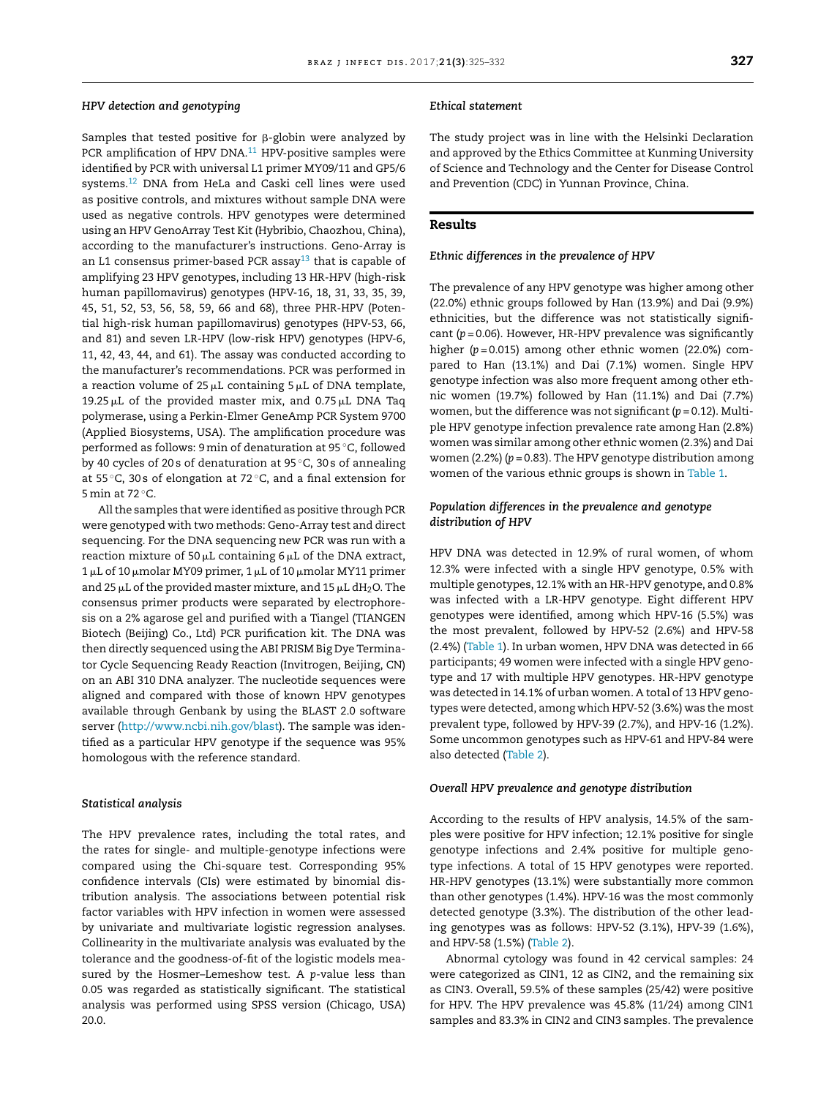## *HPV detection and genotyping*

Samples that tested positive for  $\beta$ -globin were analyzed by PCR amplification of HPV DNA.<sup>[11](#page-7-0)</sup> HPV-positive samples were identified by PCR with universal L1 primer MY09/11 and GP5/6 systems[.12](#page-7-0) DNA from HeLa and Caski cell lines were used as positive controls, and mixtures without sample DNA were used as negative controls. HPV genotypes were determined using an HPV GenoArray Test Kit (Hybribio, Chaozhou, China), according to the manufacturer's instructions. Geno-Array is an L1 consensus primer-based PCR assay<sup>[13](#page-7-0)</sup> that is capable of amplifying 23 HPV genotypes, including 13 HR-HPV (high-risk human papillomavirus) genotypes (HPV-16, 18, 31, 33, 35, 39, 45, 51, 52, 53, 56, 58, 59, 66 and 68), three PHR-HPV (Potential high-risk human papillomavirus) genotypes (HPV-53, 66, and 81) and seven LR-HPV (low-risk HPV) genotypes (HPV-6, 11, 42, 43, 44, and 61). The assay was conducted according to the manufacturer's recommendations. PCR was performed in a reaction volume of  $25 \mu L$  containing  $5 \mu L$  of DNA template, 19.25  $\mu$ L of the provided master mix, and 0.75  $\mu$ L DNA Taq polymerase, using a Perkin-Elmer GeneAmp PCR System 9700 (Applied Biosystems, USA). The amplification procedure was performed as follows: 9min of denaturation at 95 ◦C, followed by 40 cycles of 20 s of denaturation at 95 ◦C, 30 s of annealing at 55 ◦C, 30 s of elongation at 72 ◦C, and a final extension for 5 min at 72 °C.

All the samples that were identified as positive through PCR were genotyped with two methods: Geno-Array test and direct sequencing. For the DNA sequencing new PCR was run with a reaction mixture of 50  $\mu$ L containing 6  $\mu$ L of the DNA extract,  $1 \mu$ L of 10  $\mu$ molar MY09 primer, 1  $\mu$ L of 10  $\mu$ molar MY11 primer and 25  $\mu$ L of the provided master mixture, and 15  $\mu$ L dH<sub>2</sub>O. The consensus primer products were separated by electrophoresis on a 2% agarose gel and purified with a Tiangel (TIANGEN Biotech (Beijing) Co., Ltd) PCR purification kit. The DNA was then directly sequenced using the ABI PRISM Big Dye Terminator Cycle Sequencing Ready Reaction (Invitrogen, Beijing, CN) on an ABI 310 DNA analyzer. The nucleotide sequences were aligned and compared with those of known HPV genotypes available through Genbank by using the BLAST 2.0 software server (<http://www.ncbi.nih.gov/blast>). The sample was identified as a particular HPV genotype if the sequence was 95% homologous with the reference standard.

### *Statistical analysis*

The HPV prevalence rates, including the total rates, and the rates for single- and multiple-genotype infections were compared using the Chi-square test. Corresponding 95% confidence intervals (CIs) were estimated by binomial distribution analysis. The associations between potential risk factor variables with HPV infection in women were assessed by univariate and multivariate logistic regression analyses. Collinearity in the multivariate analysis was evaluated by the tolerance and the goodness-of-fit of the logistic models measured by the Hosmer–Lemeshow test. A *p*-value less than 0.05 was regarded as statistically significant. The statistical analysis was performed using SPSS version (Chicago, USA) 20.0.

## *Ethical statement*

The study project was in line with the Helsinki Declaration and approved by the Ethics Committee at Kunming University of Science and Technology and the Center for Disease Control and Prevention (CDC) in Yunnan Province, China.

## **Results**

### *Ethnic differences in the prevalence of HPV*

The prevalence of any HPV genotype was higher among other (22.0%) ethnic groups followed by Han (13.9%) and Dai (9.9%) ethnicities, but the difference was not statistically significant (*p* = 0.06). However, HR-HPV prevalence was significantly higher (*p* = 0.015) among other ethnic women (22.0%) compared to Han (13.1%) and Dai (7.1%) women. Single HPV genotype infection was also more frequent among other ethnic women (19.7%) followed by Han (11.1%) and Dai (7.7%) women, but the difference was not significant (*p* = 0.12). Multiple HPV genotype infection prevalence rate among Han (2.8%) women was similar among other ethnic women (2.3%) and Dai women (2.2%) (*p* = 0.83). The HPV genotype distribution among women of the various ethnic groups is shown in [Table](#page-3-0) 1.

## *Population differences in the prevalence and genotype distribution of HPV*

HPV DNA was detected in 12.9% of rural women, of whom 12.3% were infected with a single HPV genotype, 0.5% with multiple genotypes, 12.1% with an HR-HPV genotype, and 0.8% was infected with a LR-HPV genotype. Eight different HPV genotypes were identified, among which HPV-16 (5.5%) was the most prevalent, followed by HPV-52 (2.6%) and HPV-58 (2.4%) [\(Table](#page-3-0) 1). In urban women, HPV DNA was detected in 66 participants; 49 women were infected with a single HPV genotype and 17 with multiple HPV genotypes. HR-HPV genotype was detected in 14.1% of urban women. A total of 13 HPV genotypes were detected, among which HPV-52 (3.6%) was the most prevalent type, followed by HPV-39 (2.7%), and HPV-16 (1.2%). Some uncommon genotypes such as HPV-61 and HPV-84 were also detected [\(Table](#page-3-0) 2).

## *Overall HPV prevalence and genotype distribution*

According to the results of HPV analysis, 14.5% of the samples were positive for HPV infection; 12.1% positive for single genotype infections and 2.4% positive for multiple genotype infections. A total of 15 HPV genotypes were reported. HR-HPV genotypes (13.1%) were substantially more common than other genotypes (1.4%). HPV-16 was the most commonly detected genotype (3.3%). The distribution of the other leading genotypes was as follows: HPV-52 (3.1%), HPV-39 (1.6%), and HPV-58 (1.5%) ([Table](#page-3-0) 2).

Abnormal cytology was found in 42 cervical samples: 24 were categorized as CIN1, 12 as CIN2, and the remaining six as CIN3. Overall, 59.5% of these samples (25/42) were positive for HPV. The HPV prevalence was 45.8% (11/24) among CIN1 samples and 83.3% in CIN2 and CIN3 samples. The prevalence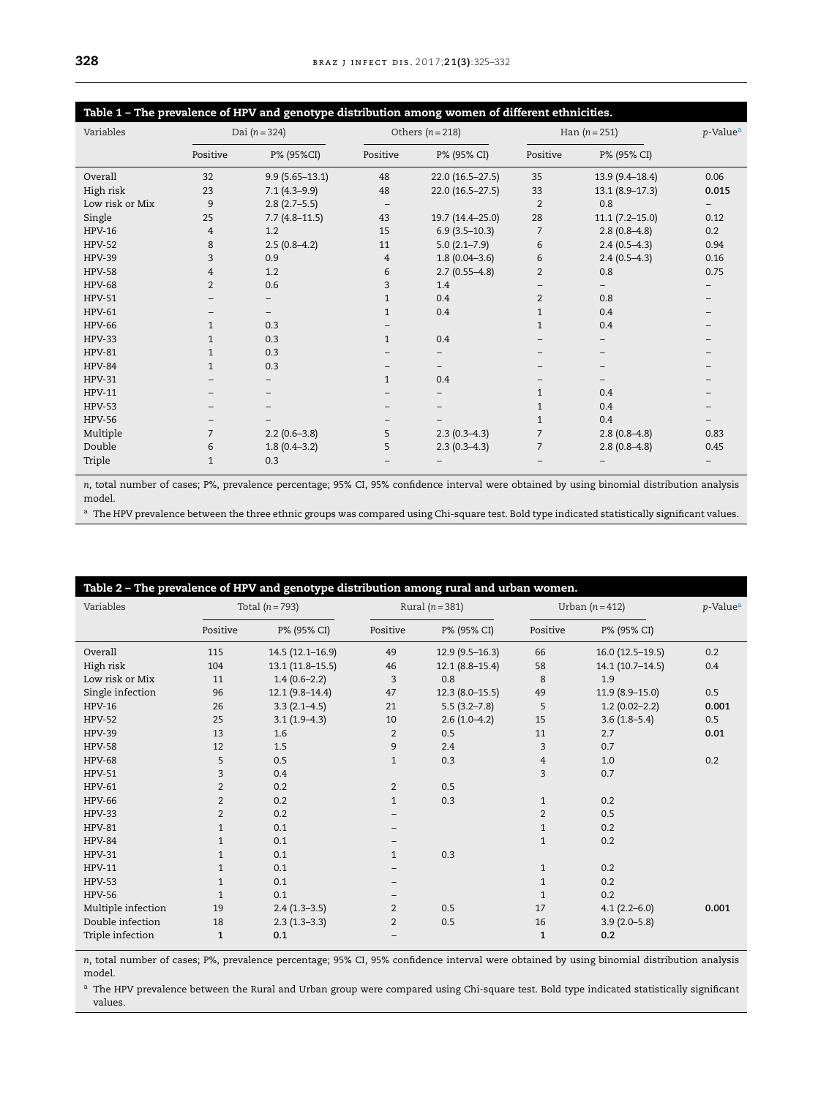<span id="page-3-0"></span>

| Table 1 - The prevalence of HPV and genotype distribution among women of different ethnicities. |                 |                          |              |                          |                |                     |       |
|-------------------------------------------------------------------------------------------------|-----------------|--------------------------|--------------|--------------------------|----------------|---------------------|-------|
| Variables                                                                                       | Dai $(n = 324)$ |                          |              | Others $(n=218)$         |                | Han $(n = 251)$     |       |
|                                                                                                 | Positive        | P% (95%CI)               | Positive     | P% (95% CI)              | Positive       | P% (95% CI)         |       |
| Overall                                                                                         | 32              | $9.9(5.65 - 13.1)$       | 48           | $22.0(16.5-27.5)$        | 35             | 13.9 (9.4-18.4)     | 0.06  |
| High risk                                                                                       | 23              | $7.1(4.3-9.9)$           | 48           | 22.0 (16.5-27.5)         | 33             | $13.1 (8.9 - 17.3)$ | 0.015 |
| Low risk or Mix                                                                                 | 9               | $2.8(2.7-5.5)$           |              |                          | $\overline{2}$ | 0.8                 |       |
| Single                                                                                          | 25              | $7.7(4.8-11.5)$          | 43           | 19.7 (14.4-25.0)         | 28             | $11.1 (7.2 - 15.0)$ | 0.12  |
| <b>HPV-16</b>                                                                                   | 4               | 1.2                      | 15           | $6.9(3.5-10.3)$          | $\overline{7}$ | $2.8(0.8-4.8)$      | 0.2   |
| <b>HPV-52</b>                                                                                   | 8               | $2.5(0.8-4.2)$           | 11           | $5.0(2.1 - 7.9)$         | 6              | $2.4(0.5-4.3)$      | 0.94  |
| <b>HPV-39</b>                                                                                   | 3               | 0.9                      | 4            | $1.8(0.04 - 3.6)$        | 6              | $2.4(0.5-4.3)$      | 0.16  |
| <b>HPV-58</b>                                                                                   | 4               | 1.2                      | 6            | $2.7(0.55-4.8)$          | $\overline{2}$ | 0.8                 | 0.75  |
| <b>HPV-68</b>                                                                                   | $\overline{2}$  | 0.6                      | 3            | 1.4                      |                |                     |       |
| <b>HPV-51</b>                                                                                   |                 |                          | $\mathbf{1}$ | 0.4                      | $\overline{2}$ | 0.8                 |       |
| <b>HPV-61</b>                                                                                   |                 | $\overline{\phantom{0}}$ | $\mathbf{1}$ | 0.4                      | $\mathbf{1}$   | 0.4                 |       |
| <b>HPV-66</b>                                                                                   | $\mathbf{1}$    | 0.3                      |              |                          | $\mathbf{1}$   | 0.4                 |       |
| <b>HPV-33</b>                                                                                   | 1               | 0.3                      | $\mathbf{1}$ | 0.4                      |                |                     |       |
| <b>HPV-81</b>                                                                                   | $\mathbf{1}$    | 0.3                      |              |                          |                |                     |       |
| <b>HPV-84</b>                                                                                   | $\mathbf{1}$    | 0.3                      |              | -                        |                |                     |       |
| <b>HPV-31</b>                                                                                   |                 | $\qquad \qquad -$        | $\mathbf{1}$ | 0.4                      |                |                     |       |
| <b>HPV-11</b>                                                                                   |                 |                          |              |                          | $\mathbf{1}$   | 0.4                 |       |
| <b>HPV-53</b>                                                                                   |                 |                          |              | $\overline{\phantom{0}}$ | $\mathbf{1}$   | 0.4                 |       |
| <b>HPV-56</b>                                                                                   |                 |                          |              |                          | $\mathbf{1}$   | 0.4                 |       |
| Multiple                                                                                        | $\overline{7}$  | $2.2(0.6-3.8)$           | 5            | $2.3(0.3-4.3)$           | $\overline{7}$ | $2.8(0.8-4.8)$      | 0.83  |
| Double                                                                                          | 6               | $1.8(0.4-3.2)$           | 5            | $2.3(0.3-4.3)$           | $\overline{7}$ | $2.8(0.8-4.8)$      | 0.45  |
| Triple                                                                                          | 1               | 0.3                      |              |                          |                |                     |       |

*n*, total number of cases; P%, prevalence percentage; 95% CI, 95% confidence interval were obtained by using binomial distribution analysis model.

a The HPV prevalence between the three ethnic groups was compared using Chi-square test. Bold type indicated statistically significant values.

| Variables          | Total $(n=793)$ |                   | Rural $(n=381)$   |                  | Urban $(n=412)$ |                   | p-Value <sup>a</sup> |
|--------------------|-----------------|-------------------|-------------------|------------------|-----------------|-------------------|----------------------|
|                    | Positive        | P% (95% CI)       | Positive          | P% (95% CI)      | Positive        | P% (95% CI)       |                      |
| Overall            | 115             | $14.5(12.1-16.9)$ | 49                | $12.9(9.5-16.3)$ | 66              | $16.0(12.5-19.5)$ | 0.2                  |
| High risk          | 104             | $13.1(11.8-15.5)$ | 46                | $12.1(8.8-15.4)$ | 58              | $14.1(10.7-14.5)$ | 0.4                  |
| Low risk or Mix    | 11              | $1.4(0.6-2.2)$    | 3                 | 0.8              | 8               | 1.9               |                      |
| Single infection   | 96              | $12.1(9.8-14.4)$  | 47                | $12.3(8.0-15.5)$ | 49              | $11.9(8.9-15.0)$  | 0.5                  |
| <b>HPV-16</b>      | 26              | $3.3(2.1-4.5)$    | 21                | $5.5(3.2 - 7.8)$ | 5               | $1.2(0.02 - 2.2)$ | 0.001                |
| <b>HPV-52</b>      | 25              | $3.1(1.9-4.3)$    | 10                | $2.6(1.0-4.2)$   | 15              | $3.6(1.8-5.4)$    | 0.5                  |
| <b>HPV-39</b>      | 13              | 1.6               | $\overline{2}$    | 0.5              | 11              | 2.7               | 0.01                 |
| <b>HPV-58</b>      | 12              | 1.5               | 9                 | 2.4              | 3               | 0.7               |                      |
| <b>HPV-68</b>      | 5               | 0.5               | $\mathbf{1}$      | 0.3              | 4               | 1.0               | 0.2                  |
| <b>HPV-51</b>      | 3               | 0.4               |                   |                  | 3               | 0.7               |                      |
| <b>HPV-61</b>      | $\overline{2}$  | 0.2               | $\overline{2}$    | 0.5              |                 |                   |                      |
| <b>HPV-66</b>      | $\overline{2}$  | 0.2               | $\mathbf{1}$      | 0.3              | $\mathbf{1}$    | 0.2               |                      |
| <b>HPV-33</b>      | $\overline{2}$  | 0.2               |                   |                  | $\overline{2}$  | 0.5               |                      |
| <b>HPV-81</b>      | $\mathbf{1}$    | 0.1               |                   |                  | $\mathbf{1}$    | 0.2               |                      |
| <b>HPV-84</b>      | $\mathbf{1}$    | 0.1               |                   |                  | $\mathbf{1}$    | 0.2               |                      |
| <b>HPV-31</b>      | $\mathbf{1}$    | 0.1               | $\mathbf{1}$      | 0.3              |                 |                   |                      |
| <b>HPV-11</b>      | $\mathbf{1}$    | 0.1               |                   |                  | $\mathbf{1}$    | 0.2               |                      |
| <b>HPV-53</b>      | $\mathbf{1}$    | 0.1               | $\qquad \qquad -$ |                  | $\mathbf{1}$    | 0.2               |                      |
| <b>HPV-56</b>      | $\mathbf{1}$    | 0.1               | $\qquad \qquad -$ |                  | $\mathbf{1}$    | 0.2               |                      |
| Multiple infection | 19              | $2.4(1.3-3.5)$    | $\overline{2}$    | 0.5              | 17              | $4.1(2.2 - 6.0)$  | 0.001                |
| Double infection   | 18              | $2.3(1.3-3.3)$    | $\overline{2}$    | 0.5              | 16              | $3.9(2.0-5.8)$    |                      |
| Triple infection   | 1               | 0.1               |                   |                  | $\mathbf{1}$    | 0.2               |                      |

*n*, total number of cases; P%, prevalence percentage; 95% CI, 95% confidence interval were obtained by using binomial distribution analysis model.

a The HPV prevalence between the Rural and Urban group were compared using Chi-square test. Bold type indicated statistically significant values.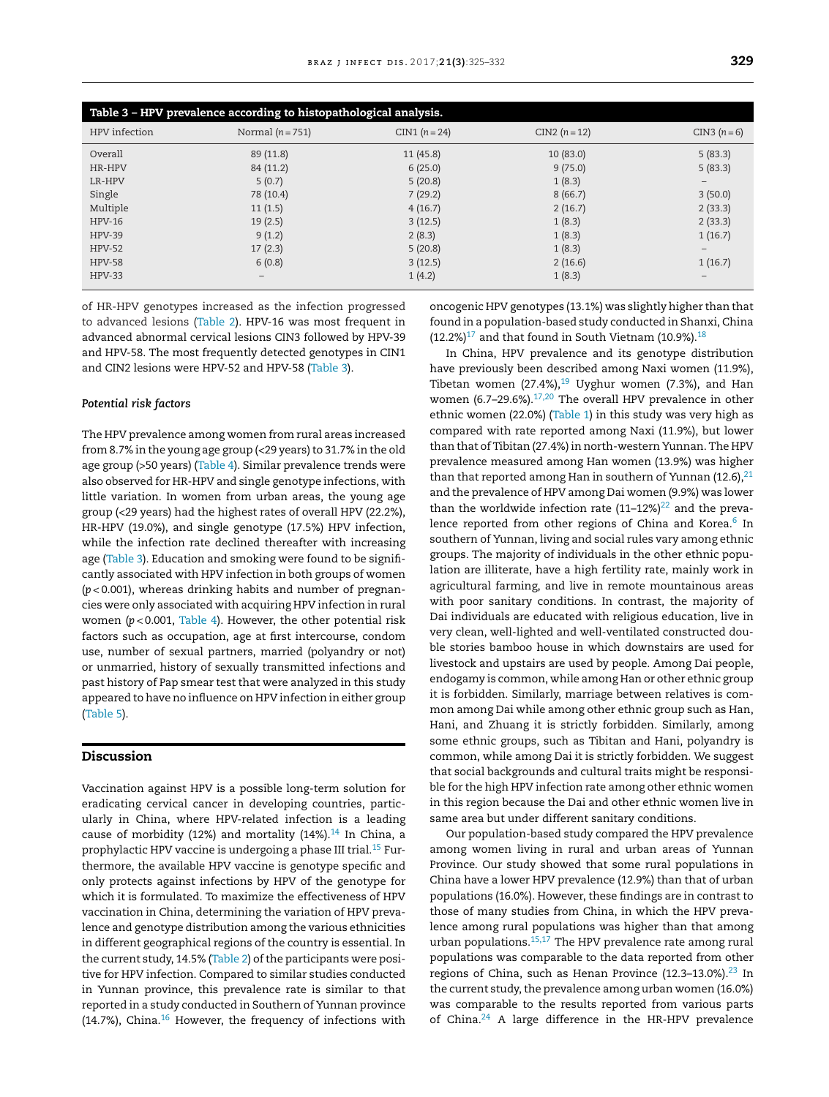| Table 3 - HPV prevalence according to histopathological analysis. |                  |                 |                 |                   |  |  |  |
|-------------------------------------------------------------------|------------------|-----------------|-----------------|-------------------|--|--|--|
| HPV infection                                                     | Normal $(n=751)$ | $CIN1 (n = 24)$ | $CIN2 (n = 12)$ | CIN3 $(n = 6)$    |  |  |  |
| Overall                                                           | 89 (11.8)        | 11(45.8)        | 10(83.0)        | 5(83.3)           |  |  |  |
| HR-HPV                                                            | 84 (11.2)        | 6(25.0)         | 9(75.0)         | 5(83.3)           |  |  |  |
| LR-HPV                                                            | 5(0.7)           | 5(20.8)         | 1(8.3)          | $\qquad \qquad -$ |  |  |  |
| Single                                                            | 78 (10.4)        | 7(29.2)         | 8(66.7)         | 3(50.0)           |  |  |  |
| Multiple                                                          | 11(1.5)          | 4(16.7)         | 2(16.7)         | 2(33.3)           |  |  |  |
| <b>HPV-16</b>                                                     | 19(2.5)          | 3(12.5)         | 1(8.3)          | 2(33.3)           |  |  |  |
| <b>HPV-39</b>                                                     | 9(1.2)           | 2(8.3)          | 1(8.3)          | 1(16.7)           |  |  |  |
| <b>HPV-52</b>                                                     | 17(2.3)          | 5(20.8)         | 1(8.3)          | $\qquad \qquad -$ |  |  |  |
| <b>HPV-58</b>                                                     | 6(0.8)           | 3(12.5)         | 2(16.6)         | 1(16.7)           |  |  |  |
| $HPV-33$                                                          |                  | 1(4.2)          | 1(8.3)          | -                 |  |  |  |

of HR-HPV genotypes increased as the infection progressed to advanced lesions [\(Table](#page-3-0) 2). HPV-16 was most frequent in advanced abnormal cervical lesions CIN3 followed by HPV-39 and HPV-58. The most frequently detected genotypes in CIN1 and CIN2 lesions were HPV-52 and HPV-58 (Table 3).

### *Potential risk factors*

The HPV prevalence among women from rural areas increased from 8.7% in the young age group (<29 years) to 31.7% in the old age group (>50 years) [\(Table](#page-5-0) 4). Similar prevalence trends were also observed for HR-HPV and single genotype infections, with little variation. In women from urban areas, the young age group (<29 years) had the highest rates of overall HPV (22.2%), HR-HPV (19.0%), and single genotype (17.5%) HPV infection, while the infection rate declined thereafter with increasing age (Table 3). Education and smoking were found to be significantly associated with HPV infection in both groups of women (*p* < 0.001), whereas drinking habits and number of pregnancies were only associated with acquiring HPV infection in rural women (*p* < 0.001, [Table](#page-5-0) 4). However, the other potential risk factors such as occupation, age at first intercourse, condom use, number of sexual partners, married (polyandry or not) or unmarried, history of sexually transmitted infections and past history of Pap smear test that were analyzed in this study appeared to have no influence on HPV infection in either group [\(Table](#page-5-0) 5).

## **Discussion**

Vaccination against HPV is a possible long-term solution for eradicating cervical cancer in developing countries, particularly in China, where HPV-related infection is a leading cause of morbidity (12%) and mortality ([14](#page-7-0)%).<sup>14</sup> In China, a prophylactic HPV vaccine is undergoing a phase III trial.<sup>15</sup> Furthermore, the available HPV vaccine is genotype specific and only protects against infections by HPV of the genotype for which it is formulated. To maximize the effectiveness of HPV vaccination in China, determining the variation of HPV prevalence and genotype distribution among the various ethnicities in different geographical regions of the country is essential. In the current study, 14.5% ([Table](#page-3-0) 2) of the participants were positive for HPV infection. Compared to similar studies conducted in Yunnan province, this prevalence rate is similar to that reported in a study conducted in Southern of Yunnan province (14.7%), China. $16$  However, the frequency of infections with oncogenic HPV genotypes (13.1%) was slightly higher than that found in a population-based study conducted in Shanxi, China  $(12.2\%)$ <sup>17</sup> and that found in South Vietnam (10.9%).<sup>[18](#page-7-0)</sup>

In China, HPV prevalence and its genotype distribution have previously been described among Naxi women (11.9%), Tibetan women  $(27.4\%),^{19}$  $(27.4\%),^{19}$  $(27.4\%),^{19}$  Uyghur women (7.3%), and Han women (6.7-29.6%). $17,20$  The overall HPV prevalence in other ethnic women (22.0%) ([Table](#page-3-0) 1) in this study was very high as compared with rate reported among Naxi (11.9%), but lower than that of Tibitan (27.4%) in north-western Yunnan. The HPV prevalence measured among Han women (13.9%) was higher than that reported among Han in southern of Yunnan (12.6), $^{21}$  $^{21}$  $^{21}$ and the prevalence of HPV among Dai women (9.9%) was lower than the worldwide infection rate  $(11-12\%)^{22}$  $(11-12\%)^{22}$  $(11-12\%)^{22}$  and the preva-lence reported from other regions of China and Korea.<sup>[6](#page-7-0)</sup> In southern of Yunnan, living and social rules vary among ethnic groups. The majority of individuals in the other ethnic population are illiterate, have a high fertility rate, mainly work in agricultural farming, and live in remote mountainous areas with poor sanitary conditions. In contrast, the majority of Dai individuals are educated with religious education, live in very clean, well-lighted and well-ventilated constructed double stories bamboo house in which downstairs are used for livestock and upstairs are used by people. Among Dai people, endogamy is common, while among Han or other ethnic group it is forbidden. Similarly, marriage between relatives is common among Dai while among other ethnic group such as Han, Hani, and Zhuang it is strictly forbidden. Similarly, among some ethnic groups, such as Tibitan and Hani, polyandry is common, while among Dai it is strictly forbidden. We suggest that social backgrounds and cultural traits might be responsible for the high HPV infection rate among other ethnic women in this region because the Dai and other ethnic women live in same area but under different sanitary conditions.

Our population-based study compared the HPV prevalence among women living in rural and urban areas of Yunnan Province. Our study showed that some rural populations in China have a lower HPV prevalence (12.9%) than that of urban populations (16.0%). However, these findings are in contrast to those of many studies from China, in which the HPV prevalence among rural populations was higher than that among urban populations.<sup>15,17</sup> The HPV prevalence rate among rural populations was comparable to the data reported from other regions of China, such as Henan Province  $(12.3-13.0\%)$ .<sup>[23](#page-7-0)</sup> In the current study, the prevalence among urban women (16.0%) was comparable to the results reported from various parts of China. $24$  A large difference in the HR-HPV prevalence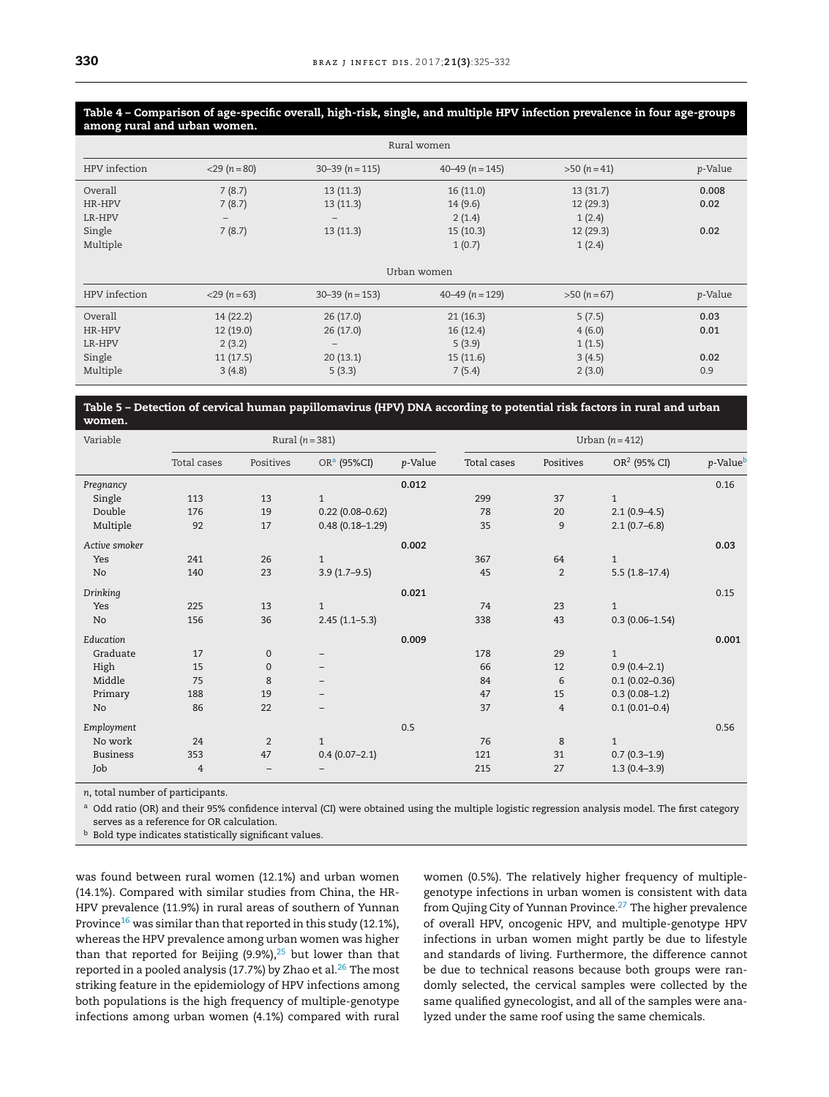<span id="page-5-0"></span>Table 4 - Comparison of age-specific overall, high-risk, single, and multiple HPV infection prevalence in four age-groups **among rural and urban women.**

| Rural women   |                   |                     |                     |              |         |  |  |
|---------------|-------------------|---------------------|---------------------|--------------|---------|--|--|
| HPV infection | $<$ 29 (n = 80)   | $30 - 39 (n = 115)$ | $40 - 49$ (n = 145) | $>50 (n=41)$ | p-Value |  |  |
| Overall       | 7(8.7)            | 13(11.3)            | 16(11.0)            | 13(31.7)     | 0.008   |  |  |
| HR-HPV        | 7(8.7)            | 13(11.3)            | 14(9.6)             | 12(29.3)     | 0.02    |  |  |
| LR-HPV        | $\qquad \qquad -$ |                     | 2(1.4)              | 1(2.4)       |         |  |  |
| Single        | 7(8.7)            | 13(11.3)            | 15(10.3)            | 12 (29.3)    | 0.02    |  |  |
| Multiple      |                   |                     | 1(0.7)              | 1(2.4)       |         |  |  |
|               |                   |                     |                     |              |         |  |  |
| Urban women   |                   |                     |                     |              |         |  |  |
| HPV infection | $<$ 29 (n = 63)   | $30 - 39$ (n = 153) | $40 - 49$ (n = 129) | $>50 (n=67)$ | p-Value |  |  |
| Overall       | 14(22.2)          | 26(17.0)            | 21(16.3)            | 5(7.5)       | 0.03    |  |  |
| HR-HPV        | 12(19.0)          | 26(17.0)            | 16(12.4)            | 4(6.0)       | 0.01    |  |  |
| LR-HPV        | 2(3.2)            | $\qquad \qquad -$   | 5(3.9)              | 1(1.5)       |         |  |  |
| Single        | 11(17.5)          | 20(13.1)            | 15(11.6)            | 3(4.5)       | 0.02    |  |  |
| Multiple      | 3(4.8)            | 5(3.3)              | 7(5.4)              | 2(3.0)       | 0.9     |  |  |

## Table 5 - Detection of cervical human papillomavirus (HPV) DNA according to potential risk factors in rural and urban **women.**

| Variable        |             | Rural $(n=381)$<br>Urban $(n=412)$ |                          |         |             |                |                          |          |
|-----------------|-------------|------------------------------------|--------------------------|---------|-------------|----------------|--------------------------|----------|
|                 | Total cases | Positives                          | OR <sup>a</sup> (95%CI)  | p-Value | Total cases | Positives      | OR <sup>2</sup> (95% CI) | p-Valueb |
| Pregnancy       |             |                                    |                          | 0.012   |             |                |                          | 0.16     |
| Single          | 113         | 13                                 | $\mathbf{1}$             |         | 299         | 37             | $\mathbf{1}$             |          |
| Double          | 176         | 19                                 | $0.22(0.08 - 0.62)$      |         | 78          | 20             | $2.1(0.9-4.5)$           |          |
| Multiple        | 92          | 17                                 | $0.48(0.18 - 1.29)$      |         | 35          | 9              | $2.1(0.7-6.8)$           |          |
| Active smoker   |             |                                    |                          | 0.002   |             |                |                          | 0.03     |
| Yes             | 241         | 26                                 | $\mathbf{1}$             |         | 367         | 64             | $\mathbf{1}$             |          |
| No              | 140         | 23                                 | $3.9(1.7-9.5)$           |         | 45          | $\overline{2}$ | $5.5(1.8-17.4)$          |          |
| Drinking        |             |                                    |                          | 0.021   |             |                |                          | 0.15     |
| Yes             | 225         | 13                                 | $\mathbf{1}$             |         | 74          | 23             | $\mathbf{1}$             |          |
| No              | 156         | 36                                 | $2.45(1.1-5.3)$          |         | 338         | 43             | $0.3(0.06 - 1.54)$       |          |
| Education       |             |                                    |                          | 0.009   |             |                |                          | 0.001    |
| Graduate        | 17          | $\mathbf 0$                        | $\overline{\phantom{m}}$ |         | 178         | 29             | $\mathbf{1}$             |          |
| High            | 15          | $\mathbf{0}$                       | -                        |         | 66          | 12             | $0.9(0.4-2.1)$           |          |
| Middle          | 75          | 8                                  | -                        |         | 84          | 6              | $0.1(0.02 - 0.36)$       |          |
| Primary         | 188         | 19                                 | $\overline{\phantom{0}}$ |         | 47          | 15             | $0.3(0.08-1.2)$          |          |
| No              | 86          | 22                                 |                          |         | 37          | $\overline{4}$ | $0.1(0.01 - 0.4)$        |          |
| Employment      |             |                                    |                          | 0.5     |             |                |                          | 0.56     |
| No work         | 24          | $\overline{2}$                     | $\mathbf{1}$             |         | 76          | 8              | $\mathbf{1}$             |          |
| <b>Business</b> | 353         | 47                                 | $0.4(0.07-2.1)$          |         | 121         | 31             | $0.7(0.3-1.9)$           |          |
| Job             | 4           |                                    |                          |         | 215         | 27             | $1.3(0.4 - 3.9)$         |          |

*n*, total number of participants.

<sup>a</sup> Odd ratio (OR) and their 95% confidence interval (CI) were obtained using the multiple logistic regression analysis model. The first category serves as a reference for OR calculation.

 $<sup>b</sup>$  Bold type indicates statistically significant values.</sup>

was found between rural women (12.1%) and urban women (14.1%). Compared with similar studies from China, the HR-HPV prevalence (11.9%) in rural areas of southern of Yunnan Province<sup>[16](#page-7-0)</sup> was similar than that reported in this study (12.1%), whereas the HPV prevalence among urban women was higher than that reported for Beijing  $(9.9\%)$ ,<sup>[25](#page-7-0)</sup> but lower than that reported in a pooled analysis (17.7%) by Zhao et al. $^{26}$  $^{26}$  $^{26}$  The most striking feature in the epidemiology of HPV infections among both populations is the high frequency of multiple-genotype infections among urban women (4.1%) compared with rural

women (0.5%). The relatively higher frequency of multiplegenotype infections in urban women is consistent with data from Qujing City of Yunnan Province. $27$  The higher prevalence of overall HPV, oncogenic HPV, and multiple-genotype HPV infections in urban women might partly be due to lifestyle and standards of living. Furthermore, the difference cannot be due to technical reasons because both groups were randomly selected, the cervical samples were collected by the same qualified gynecologist, and all of the samples were analyzed under the same roof using the same chemicals.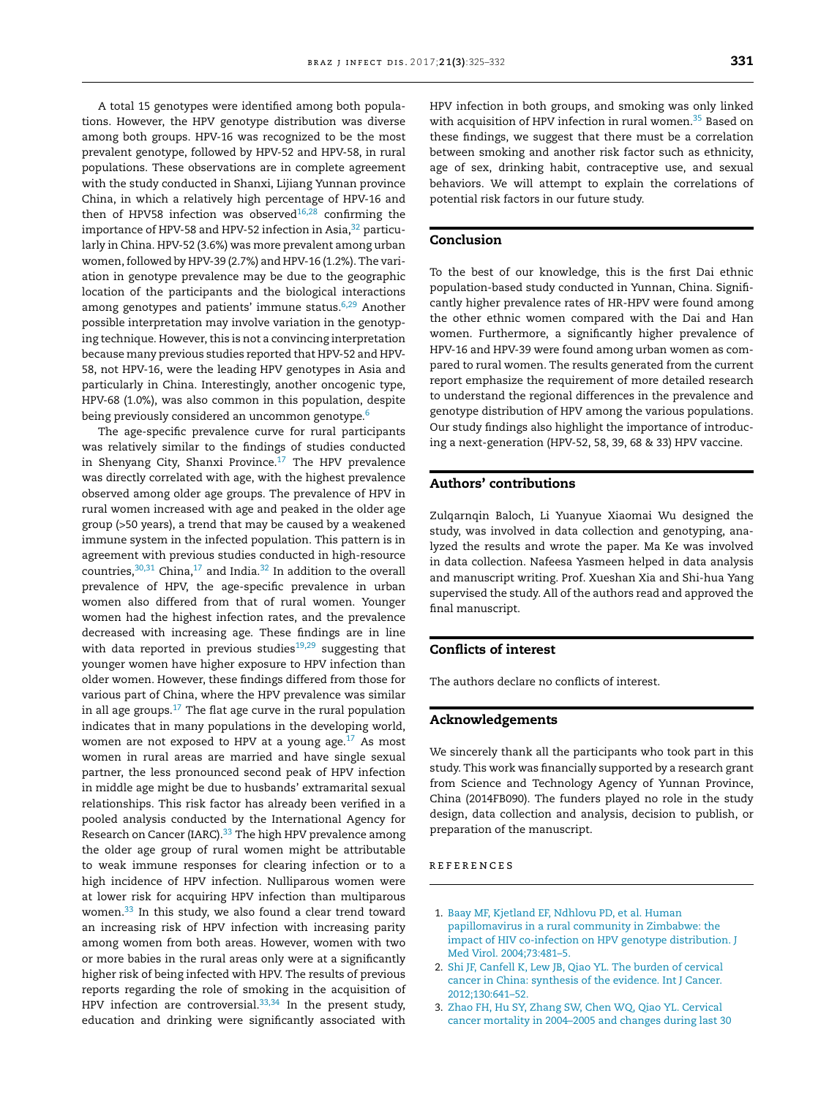<span id="page-6-0"></span>A total 15 genotypes were identified among both populations. However, the HPV genotype distribution was diverse among both groups. HPV-16 was recognized to be the most prevalent genotype, followed by HPV-52 and HPV-58, in rural populations. These observations are in complete agreement with the study conducted in Shanxi, Lijiang Yunnan province China, in which a relatively high percentage of HPV-16 and then of HPV58 infection was observed $16,28$  confirming the importance of HPV-58 and HPV-52 infection in Asia,<sup>[32](#page-7-0)</sup> particularly in China. HPV-52 (3.6%) was more prevalent among urban women, followed by HPV-39 (2.7%) and HPV-16 (1.2%). The variation in genotype prevalence may be due to the geographic location of the participants and the biological interactions among genotypes and patients' immune status.<sup>[6,29](#page-7-0)</sup> Another possible interpretation may involve variation in the genotyping technique. However, this is not a convincing interpretation because many previous studies reported that HPV-52 and HPV-58, not HPV-16, were the leading HPV genotypes in Asia and particularly in China. Interestingly, another oncogenic type, HPV-68 (1.0%), was also common in this population, despite being previously considered an uncommon genotype.<sup>6</sup>

The age-specific prevalence curve for rural participants was relatively similar to the findings of studies conducted in Shenyang City, Shanxi Province. $17$  The HPV prevalence was directly correlated with age, with the highest prevalence observed among older age groups. The prevalence of HPV in rural women increased with age and peaked in the older age group (>50 years), a trend that may be caused by a weakened immune system in the infected population. This pattern is in agreement with previous studies conducted in high-resource countries, $30,31$  China, $17$  and India. $32$  In addition to the overall prevalence of HPV, the age-specific prevalence in urban women also differed from that of rural women. Younger women had the highest infection rates, and the prevalence decreased with increasing age. These findings are in line with data reported in previous studies<sup>[19,29](#page-7-0)</sup> suggesting that younger women have higher exposure to HPV infection than older women. However, these findings differed from those for various part of China, where the HPV prevalence was similar in all age groups. $17$  The flat age curve in the rural population indicates that in many populations in the developing world, women are not exposed to HPV at a young age. $^{17}$  As most women in rural areas are married and have single sexual partner, the less pronounced second peak of HPV infection in middle age might be due to husbands' extramarital sexual relationships. This risk factor has already been verified in a pooled analysis conducted by the International Agency for Research on Cancer (IARC).<sup>33</sup> The high HPV prevalence among the older age group of rural women might be attributable to weak immune responses for clearing infection or to a high incidence of HPV infection. Nulliparous women were at lower risk for acquiring HPV infection than multiparous women[.33](#page-7-0) In this study, we also found a clear trend toward an increasing risk of HPV infection with increasing parity among women from both areas. However, women with two or more babies in the rural areas only were at a significantly higher risk of being infected with HPV. The results of previous reports regarding the role of smoking in the acquisition of HPV infection are controversial. $33,34$  In the present study, education and drinking were significantly associated with

HPV infection in both groups, and smoking was only linked with acquisition of HPV infection in rural women.<sup>35</sup> Based on these findings, we suggest that there must be a correlation between smoking and another risk factor such as ethnicity, age of sex, drinking habit, contraceptive use, and sexual behaviors. We will attempt to explain the correlations of potential risk factors in our future study.

## **Conclusion**

To the best of our knowledge, this is the first Dai ethnic population-based study conducted in Yunnan, China. Significantly higher prevalence rates of HR-HPV were found among the other ethnic women compared with the Dai and Han women. Furthermore, a significantly higher prevalence of HPV-16 and HPV-39 were found among urban women as compared to rural women. The results generated from the current report emphasize the requirement of more detailed research to understand the regional differences in the prevalence and genotype distribution of HPV among the various populations. Our study findings also highlight the importance of introducing a next-generation (HPV-52, 58, 39, 68 & 33) HPV vaccine.

## **Authors' contributions**

Zulqarnqin Baloch, Li Yuanyue Xiaomai Wu designed the study, was involved in data collection and genotyping, analyzed the results and wrote the paper. Ma Ke was involved in data collection. Nafeesa Yasmeen helped in data analysis and manuscript writing. Prof. Xueshan Xia and Shi-hua Yang supervised the study. All of the authors read and approved the final manuscript.

## **Conflicts of interest**

The authors declare no conflicts of interest.

## **Acknowledgements**

We sincerely thank all the participants who took part in this study. This work was financially supported by a research grant from Science and Technology Agency of Yunnan Province, China (2014FB090). The funders played no role in the study design, data collection and analysis, decision to publish, or preparation of the manuscript.

## r e f e r enc e s

- 1. [Baay](http://refhub.elsevier.com/S1413-8670(16)30633-X/sbref0180) [MF,](http://refhub.elsevier.com/S1413-8670(16)30633-X/sbref0180) [Kjetland](http://refhub.elsevier.com/S1413-8670(16)30633-X/sbref0180) [EF,](http://refhub.elsevier.com/S1413-8670(16)30633-X/sbref0180) [Ndhlovu](http://refhub.elsevier.com/S1413-8670(16)30633-X/sbref0180) [PD,](http://refhub.elsevier.com/S1413-8670(16)30633-X/sbref0180) [et](http://refhub.elsevier.com/S1413-8670(16)30633-X/sbref0180) [al.](http://refhub.elsevier.com/S1413-8670(16)30633-X/sbref0180) [Human](http://refhub.elsevier.com/S1413-8670(16)30633-X/sbref0180) [papillomavirus](http://refhub.elsevier.com/S1413-8670(16)30633-X/sbref0180) [in](http://refhub.elsevier.com/S1413-8670(16)30633-X/sbref0180) [a](http://refhub.elsevier.com/S1413-8670(16)30633-X/sbref0180) [rural](http://refhub.elsevier.com/S1413-8670(16)30633-X/sbref0180) [community](http://refhub.elsevier.com/S1413-8670(16)30633-X/sbref0180) [in](http://refhub.elsevier.com/S1413-8670(16)30633-X/sbref0180) [Zimbabwe:](http://refhub.elsevier.com/S1413-8670(16)30633-X/sbref0180) [the](http://refhub.elsevier.com/S1413-8670(16)30633-X/sbref0180) [impact](http://refhub.elsevier.com/S1413-8670(16)30633-X/sbref0180) [of](http://refhub.elsevier.com/S1413-8670(16)30633-X/sbref0180) [HIV](http://refhub.elsevier.com/S1413-8670(16)30633-X/sbref0180) [co-infection](http://refhub.elsevier.com/S1413-8670(16)30633-X/sbref0180) [on](http://refhub.elsevier.com/S1413-8670(16)30633-X/sbref0180) [HPV](http://refhub.elsevier.com/S1413-8670(16)30633-X/sbref0180) [genotype](http://refhub.elsevier.com/S1413-8670(16)30633-X/sbref0180) [distribution.](http://refhub.elsevier.com/S1413-8670(16)30633-X/sbref0180) [J](http://refhub.elsevier.com/S1413-8670(16)30633-X/sbref0180) [Med](http://refhub.elsevier.com/S1413-8670(16)30633-X/sbref0180) [Virol.](http://refhub.elsevier.com/S1413-8670(16)30633-X/sbref0180) [2004;73:481](http://refhub.elsevier.com/S1413-8670(16)30633-X/sbref0180)–[5.](http://refhub.elsevier.com/S1413-8670(16)30633-X/sbref0180)
- 2. [Shi](http://refhub.elsevier.com/S1413-8670(16)30633-X/sbref0185) [JF,](http://refhub.elsevier.com/S1413-8670(16)30633-X/sbref0185) [Canfell](http://refhub.elsevier.com/S1413-8670(16)30633-X/sbref0185) [K,](http://refhub.elsevier.com/S1413-8670(16)30633-X/sbref0185) [Lew](http://refhub.elsevier.com/S1413-8670(16)30633-X/sbref0185) [JB,](http://refhub.elsevier.com/S1413-8670(16)30633-X/sbref0185) [Qiao](http://refhub.elsevier.com/S1413-8670(16)30633-X/sbref0185) [YL.](http://refhub.elsevier.com/S1413-8670(16)30633-X/sbref0185) [The](http://refhub.elsevier.com/S1413-8670(16)30633-X/sbref0185) [burden](http://refhub.elsevier.com/S1413-8670(16)30633-X/sbref0185) [of](http://refhub.elsevier.com/S1413-8670(16)30633-X/sbref0185) [cervical](http://refhub.elsevier.com/S1413-8670(16)30633-X/sbref0185) [cancer](http://refhub.elsevier.com/S1413-8670(16)30633-X/sbref0185) [in](http://refhub.elsevier.com/S1413-8670(16)30633-X/sbref0185) [China:](http://refhub.elsevier.com/S1413-8670(16)30633-X/sbref0185) [synthesis](http://refhub.elsevier.com/S1413-8670(16)30633-X/sbref0185) [of](http://refhub.elsevier.com/S1413-8670(16)30633-X/sbref0185) [the](http://refhub.elsevier.com/S1413-8670(16)30633-X/sbref0185) [evidence.](http://refhub.elsevier.com/S1413-8670(16)30633-X/sbref0185) [Int](http://refhub.elsevier.com/S1413-8670(16)30633-X/sbref0185) [J](http://refhub.elsevier.com/S1413-8670(16)30633-X/sbref0185) [Cancer.](http://refhub.elsevier.com/S1413-8670(16)30633-X/sbref0185) [2012;130:641–52.](http://refhub.elsevier.com/S1413-8670(16)30633-X/sbref0185)
- 3. [Zhao](http://refhub.elsevier.com/S1413-8670(16)30633-X/sbref0190) [FH,](http://refhub.elsevier.com/S1413-8670(16)30633-X/sbref0190) [Hu](http://refhub.elsevier.com/S1413-8670(16)30633-X/sbref0190) [SY,](http://refhub.elsevier.com/S1413-8670(16)30633-X/sbref0190) [Zhang](http://refhub.elsevier.com/S1413-8670(16)30633-X/sbref0190) [SW,](http://refhub.elsevier.com/S1413-8670(16)30633-X/sbref0190) [Chen](http://refhub.elsevier.com/S1413-8670(16)30633-X/sbref0190) [WQ,](http://refhub.elsevier.com/S1413-8670(16)30633-X/sbref0190) [Qiao](http://refhub.elsevier.com/S1413-8670(16)30633-X/sbref0190) [YL.](http://refhub.elsevier.com/S1413-8670(16)30633-X/sbref0190) [Cervical](http://refhub.elsevier.com/S1413-8670(16)30633-X/sbref0190) [cancer](http://refhub.elsevier.com/S1413-8670(16)30633-X/sbref0190) [mortality](http://refhub.elsevier.com/S1413-8670(16)30633-X/sbref0190) [in](http://refhub.elsevier.com/S1413-8670(16)30633-X/sbref0190) [2004](http://refhub.elsevier.com/S1413-8670(16)30633-X/sbref0190)–[2005](http://refhub.elsevier.com/S1413-8670(16)30633-X/sbref0190) [and](http://refhub.elsevier.com/S1413-8670(16)30633-X/sbref0190) [changes](http://refhub.elsevier.com/S1413-8670(16)30633-X/sbref0190) [during](http://refhub.elsevier.com/S1413-8670(16)30633-X/sbref0190) [last](http://refhub.elsevier.com/S1413-8670(16)30633-X/sbref0190) [30](http://refhub.elsevier.com/S1413-8670(16)30633-X/sbref0190)